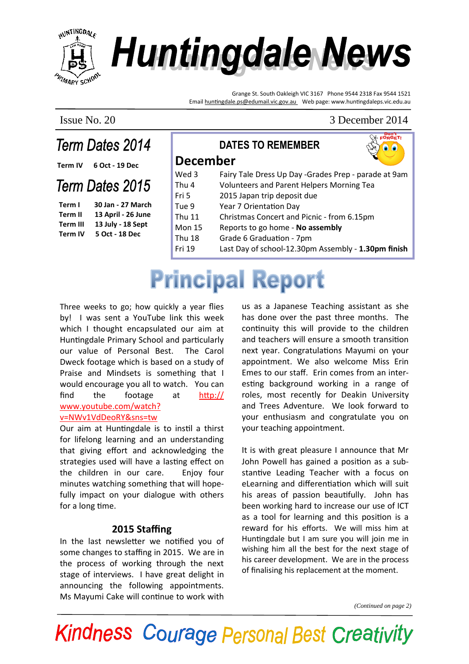

# **Huntingdale News**

DATES TO REMEMBER

Grange St. South Oakleigh VIC 3167 Phone 9544 2318 Fax 9544 1521 Email huntingdale.ps@edumail.vic.gov.au Web page: www.huntingdaleps.vic.edu.au

### Issue No. 20 3 December 2014<br> **Term Dates 2014** DATES TO DEMEMBED SERVICED. Term Dates 2014

Term IV 6 Oct - 19 Dec

#### Term Dates 2015

Term I 30 Jan - 27 March Term II 13 April - 26 June Term III 13 July - 18 Sept Term IV 5 Oct - 18 Dec

| <b>December</b> |                                                      |
|-----------------|------------------------------------------------------|
| Wed 3           | Fairy Tale Dress Up Day -Grades Prep - parade at 9am |
| Thu 4           | Volunteers and Parent Helpers Morning Tea            |
| Fri 5           | 2015 Japan trip deposit due                          |
| Tue 9           | Year 7 Orientation Day                               |
| <b>Thu 11</b>   | Christmas Concert and Picnic - from 6.15pm           |
| <b>Mon 15</b>   | Reports to go home - No assembly                     |
| <b>Thu 18</b>   | Grade 6 Graduation - 7pm                             |
| Fri 19          | Last Day of school-12.30pm Assembly - 1.30pm finish  |

## **Principal Report**

Three weeks to go; how quickly a year flies by! I was sent a YouTube link this week which I thought encapsulated our aim at Huntingdale Primary School and particularly our value of Personal Best. The Carol Dweck footage which is based on a study of Praise and Mindsets is something that I would encourage you all to watch. You can find the footage at  $http://$ www.youtube.com/watch?

#### v=NWv1VdDeoRY&sns=tw Our aim at Huntingdale is to instil a thirst

for lifelong learning and an understanding that giving effort and acknowledging the strategies used will have a lasting effect on the children in our care. Enjoy four minutes watching something that will hopefully impact on your dialogue with others for a long time.

#### 2015 Staffing

In the last newsletter we notified you of some changes to staffing in 2015. We are in the process of working through the next stage of interviews. I have great delight in announcing the following appointments. Ms Mayumi Cake will continue to work with

us as a Japanese Teaching assistant as she has done over the past three months. The continuity this will provide to the children and teachers will ensure a smooth transition next year. Congratulations Mayumi on your appointment. We also welcome Miss Erin Emes to our staff. Erin comes from an interesting background working in a range of roles, most recently for Deakin University and Trees Adventure. We look forward to your enthusiasm and congratulate you on your teaching appointment.

It is with great pleasure I announce that Mr John Powell has gained a position as a substantive Leading Teacher with a focus on eLearning and differentiation which will suit his areas of passion beautifully. John has been working hard to increase our use of ICT as a tool for learning and this position is a reward for his efforts. We will miss him at Huntingdale but I am sure you will join me in wishing him all the best for the next stage of his career development. We are in the process of finalising his replacement at the moment.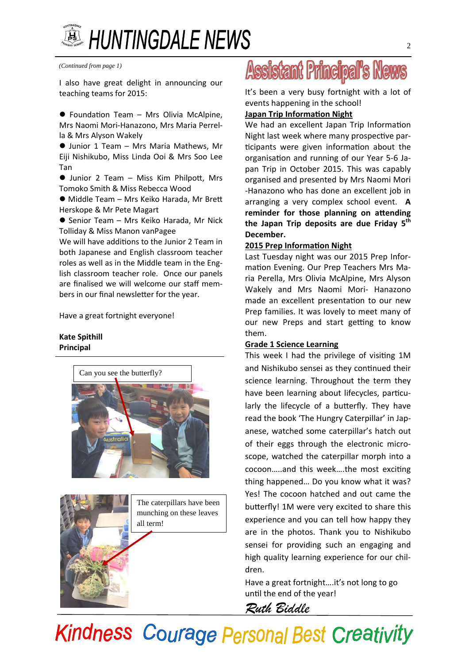## **A HUNTINGDALE NEWS**

*(Continued from page 1)*

I also have great delight in announcing our teaching teams for 2015:

● Foundation Team – Mrs Olivia McAlpine, Mrs Naomi Mori-Hanazono, Mrs Maria Perrella & Mrs Alyson Wakely

 Junior 1 Team – Mrs Maria Mathews, Mr Eiji Nishikubo, Miss Linda Ooi & Mrs Soo Lee Tan

 $\bullet$  Junior 2 Team – Miss Kim Philpott, Mrs Tomoko Smith & Miss Rebecca Wood

 $\bullet$  Middle Team - Mrs Keiko Harada, Mr Brett Herskope & Mr Pete Magart

● Senior Team – Mrs Keiko Harada, Mr Nick Tolliday & Miss Manon vanPagee

We will have additions to the Junior 2 Team in both Japanese and English classroom teacher roles as well as in the Middle team in the English classroom teacher role. Once our panels are finalised we will welcome our staff members in our final newsletter for the year.

Have a great fortnight everyone!

#### Kate Spithill Principal





The caterpillars have been munching on these leaves all term!

## **Assistant Principal's News**

It's been a very busy fortnight with a lot of events happening in the school!

#### Japan Trip Information Night

We had an excellent Japan Trip Information Night last week where many prospective participants were given information about the organisation and running of our Year 5-6 Japan Trip in October 2015. This was capably organised and presented by Mrs Naomi Mori -Hanazono who has done an excellent job in arranging a very complex school event. A reminder for those planning on attending the Japan Trip deposits are due Friday  $5<sup>th</sup>$ December.

#### 2015 Prep Information Night

Last Tuesday night was our 2015 Prep Information Evening. Our Prep Teachers Mrs Maria Perella, Mrs Olivia McAlpine, Mrs Alyson Wakely and Mrs Naomi Mori- Hanazono made an excellent presentation to our new Prep families. It was lovely to meet many of our new Preps and start getting to know them.

#### Grade 1 Science Learning

This week I had the privilege of visiting  $1M$ and Nishikubo sensei as they continued their science learning. Throughout the term they have been learning about lifecycles, particularly the lifecycle of a butterfly. They have read the book 'The Hungry Caterpillar' in Japanese, watched some caterpillar's hatch out of their eggs through the electronic microscope, watched the caterpillar morph into a cocoon.....and this week....the most exciting thing happened… Do you know what it was? Yes! The cocoon hatched and out came the butterfly! 1M were very excited to share this experience and you can tell how happy they are in the photos. Thank you to Nishikubo sensei for providing such an engaging and high quality learning experience for our children.

Have a great fortnight….it's not long to go until the end of the year!

Ruth Biddle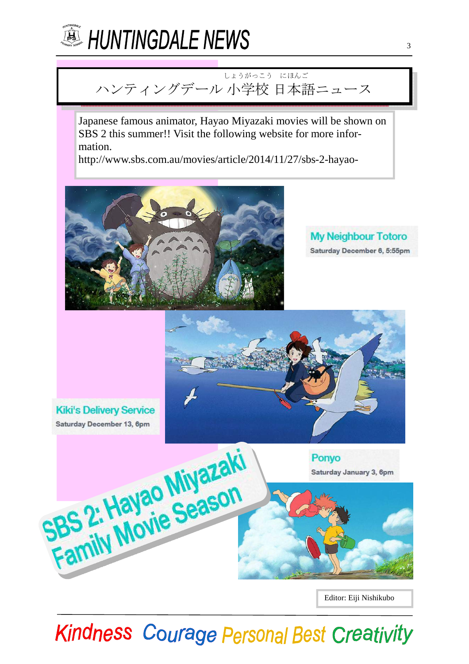

#### ハンティングデール 小学校 日本語 ニュース しょうがっこう にほんご

Japanese famous animator, Hayao Miyazaki movies will be shown on SBS 2 this summer!! Visit the following website for more information.

http://www.sbs.com.au/movies/article/2014/11/27/sbs-2-hayao-



**My Neighbour Totoro** Saturday December 6, 5:55pm



Editor: Eiji Nishikubo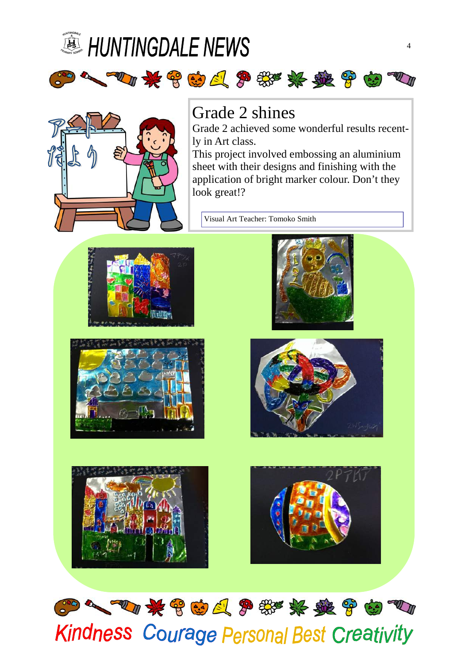



### Grade 2 shines

2010年900人多数奖奖奖合中1

Grade 2 achieved some wonderful results recently in Art class.

This project involved embossing an aluminium sheet with their designs and finishing with the application of bright marker colour. Don't they look great!?

Visual Art Teacher: Tomoko Smith













## 2004 如果曾由日常带来越曾由四 **Kindness Courage Personal Best Creativity**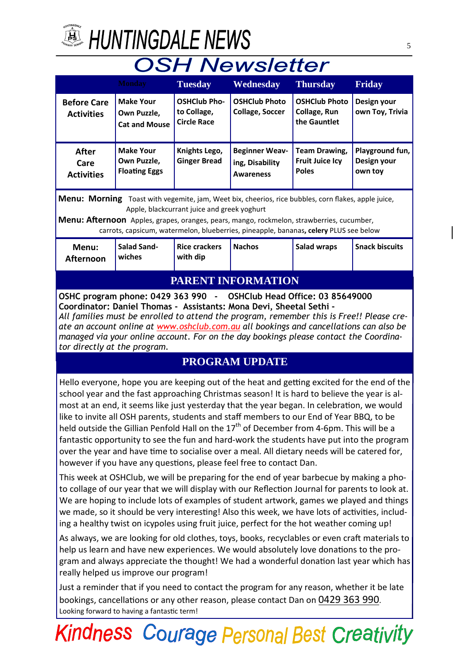

## **A HUNTINGDALE NEWS**

## **OSH Newsletter**

| <u>vv Oroccor</u>                                                                                                                                                                                                                                                                                                                                                                                                                                                                                                                                                                                                                                                                                                                                                                                                                                             |                                                         |                                                          |                                                                                                     |                                                                |                                           |  |  |  |
|---------------------------------------------------------------------------------------------------------------------------------------------------------------------------------------------------------------------------------------------------------------------------------------------------------------------------------------------------------------------------------------------------------------------------------------------------------------------------------------------------------------------------------------------------------------------------------------------------------------------------------------------------------------------------------------------------------------------------------------------------------------------------------------------------------------------------------------------------------------|---------------------------------------------------------|----------------------------------------------------------|-----------------------------------------------------------------------------------------------------|----------------------------------------------------------------|-------------------------------------------|--|--|--|
|                                                                                                                                                                                                                                                                                                                                                                                                                                                                                                                                                                                                                                                                                                                                                                                                                                                               | <b>Monday</b>                                           | <b>Tuesday</b>                                           | Wednesday                                                                                           | <b>Thursday</b>                                                | Friday                                    |  |  |  |
| <b>Before Care</b><br><b>Activities</b>                                                                                                                                                                                                                                                                                                                                                                                                                                                                                                                                                                                                                                                                                                                                                                                                                       | <b>Make Your</b><br>Own Puzzle,<br><b>Cat and Mouse</b> | <b>OSHClub Pho-</b><br>to Collage,<br><b>Circle Race</b> | <b>OSHClub Photo</b><br><b>Collage, Soccer</b>                                                      | <b>OSHClub Photo</b><br>Collage, Run<br>the Gauntlet           | Design your<br>own Toy, Trivia            |  |  |  |
| <b>After</b><br>Care<br><b>Activities</b>                                                                                                                                                                                                                                                                                                                                                                                                                                                                                                                                                                                                                                                                                                                                                                                                                     | <b>Make Your</b><br>Own Puzzle,<br><b>Floating Eggs</b> | Knights Lego,<br><b>Ginger Bread</b>                     | <b>Beginner Weav-</b><br>ing, Disability<br><b>Awareness</b>                                        | <b>Team Drawing,</b><br><b>Fruit Juice Icy</b><br><b>Poles</b> | Playground fun,<br>Design your<br>own toy |  |  |  |
|                                                                                                                                                                                                                                                                                                                                                                                                                                                                                                                                                                                                                                                                                                                                                                                                                                                               |                                                         |                                                          | Menu: Morning Toast with vegemite, jam, Weet bix, cheerios, rice bubbles, corn flakes, apple juice, |                                                                |                                           |  |  |  |
| Apple, blackcurrant juice and greek yoghurt<br>Menu: Afternoon Apples, grapes, oranges, pears, mango, rockmelon, strawberries, cucumber,<br>carrots, capsicum, watermelon, blueberries, pineapple, bananas, celery PLUS see below                                                                                                                                                                                                                                                                                                                                                                                                                                                                                                                                                                                                                             |                                                         |                                                          |                                                                                                     |                                                                |                                           |  |  |  |
| Menu:<br><b>Afternoon</b>                                                                                                                                                                                                                                                                                                                                                                                                                                                                                                                                                                                                                                                                                                                                                                                                                                     | <b>Salad Sand-</b><br>wiches                            | <b>Rice crackers</b><br>with dip                         | <b>Nachos</b>                                                                                       | <b>Salad wraps</b>                                             | <b>Snack biscuits</b>                     |  |  |  |
| PARENT INFORMATION                                                                                                                                                                                                                                                                                                                                                                                                                                                                                                                                                                                                                                                                                                                                                                                                                                            |                                                         |                                                          |                                                                                                     |                                                                |                                           |  |  |  |
| OSHC program phone: 0429 363 990 - OSHClub Head Office: 03 85649000<br>Coordinator: Daniel Thomas - Assistants: Mona Devi, Sheetal Sethi -<br>All families must be enrolled to attend the program, remember this is Free!! Please cre-<br>ate an account online at www.oshclub.com.au all bookings and cancellations can also be<br>managed via your online account. For on the day bookings please contact the Coordina-<br>tor directly at the program.                                                                                                                                                                                                                                                                                                                                                                                                     |                                                         |                                                          |                                                                                                     |                                                                |                                           |  |  |  |
| <b>PROGRAM UPDATE</b>                                                                                                                                                                                                                                                                                                                                                                                                                                                                                                                                                                                                                                                                                                                                                                                                                                         |                                                         |                                                          |                                                                                                     |                                                                |                                           |  |  |  |
| Hello everyone, hope you are keeping out of the heat and getting excited for the end of the<br>school year and the fast approaching Christmas season! It is hard to believe the year is al-<br>most at an end, it seems like just yesterday that the year began. In celebration, we would<br>like to invite all OSH parents, students and staff members to our End of Year BBQ, to be<br>held outside the Gillian Penfold Hall on the 17 <sup>th</sup> of December from 4-6pm. This will be a<br>fantastic opportunity to see the fun and hard-work the students have put into the program<br>over the year and have time to socialise over a meal. All dietary needs will be catered for,<br>however if you have any questions, please feel free to contact Dan.<br>This week at OSHClub, we will be preparing for the end of year barbecue by making a pho- |                                                         |                                                          |                                                                                                     |                                                                |                                           |  |  |  |
| to collage of our year that we will display with our Reflection Journal for parents to look at.                                                                                                                                                                                                                                                                                                                                                                                                                                                                                                                                                                                                                                                                                                                                                               |                                                         |                                                          |                                                                                                     |                                                                |                                           |  |  |  |

We are hoping to include lots of examples of student artwork, games we played and things we made, so it should be very interesting! Also this week, we have lots of activities, including a healthy twist on icypoles using fruit juice, perfect for the hot weather coming up!

As always, we are looking for old clothes, toys, books, recyclables or even craft materials to help us learn and have new experiences. We would absolutely love donations to the program and always appreciate the thought! We had a wonderful donation last year which has really helped us improve our program!

Just a reminder that if you need to contact the program for any reason, whether it be late bookings, cancellations or any other reason, please contact Dan on 0429 363 990. Looking forward to having a fantastic term!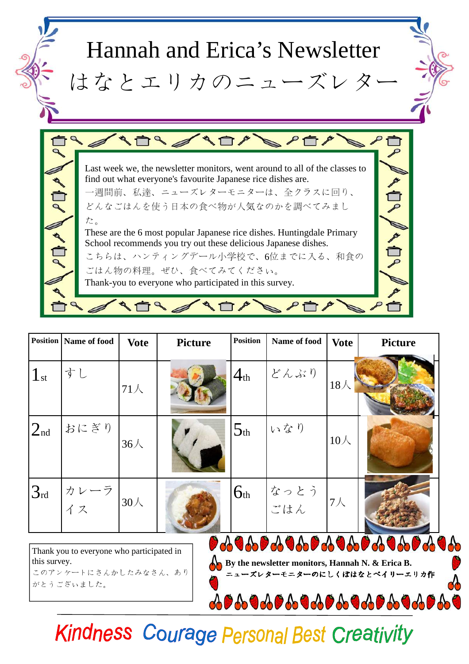

|              | <b>Position   Name of food</b>            | <b>Vote</b> | <b>Picture</b> | <b>Position</b> | Name of food | <b>Vote</b> | <b>Picture</b>      |
|--------------|-------------------------------------------|-------------|----------------|-----------------|--------------|-------------|---------------------|
| $1_{\rm st}$ | すし                                        | $71\lambda$ |                | $4_{\rm th}$    | どんぶり         | $18\lambda$ |                     |
| $2_{nd}$     | おにぎり                                      | $36\lambda$ |                | 5 <sub>th</sub> | いなり          | $10\lambda$ |                     |
| $3_{\rm rd}$ | カレーラ<br> イス                               | 30人         |                | 6 <sub>th</sub> | なっとう<br>ごはん  | $7\lambda$  |                     |
|              | Thank you to gravione who perticipated in |             |                |                 |              |             | 0898089808980898089 |

Thank you to everyone who participated in this survey. このアンケートにさんかしたみなさん、あり がとうございました。

ニューズレターモニターのにしくぼはなとベイリーエリカ作

**By the newsletter monitors, Hannah N. & Erica B.** 

8089808980898089808